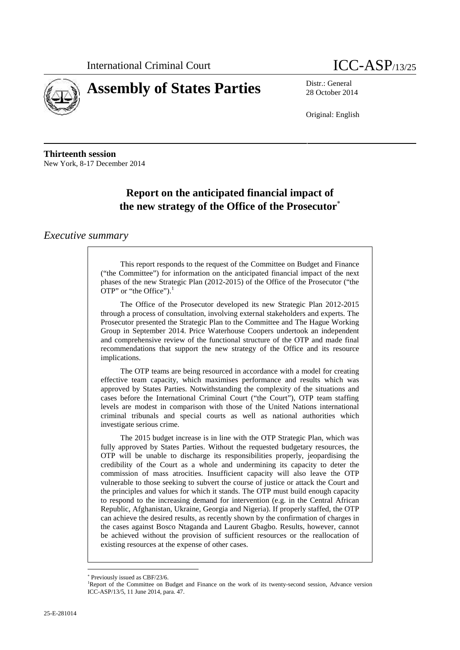

# **Assembly of States Parties** Distr.: General District General

28 October 2014

Original: English

**Thirteenth session** New York, 8-17 December 2014

## **Report on the anticipated financial impact of the new strategy of the Office of the Prosecutor**

#### *Executive summary*

This report responds to the request of the Committee on Budget and Finance ("the Committee") for information on the anticipated financial impact of the next phases of the new Strategic Plan (2012-2015) of the Office of the Prosecutor ("the OTP" or "the Office").<sup>1</sup>

The Office of the Prosecutor developed its new Strategic Plan 2012-2015 through a process of consultation, involving external stakeholders and experts. The Prosecutor presented the Strategic Plan to the Committee and The Hague Working Group in September 2014. Price Waterhouse Coopers undertook an independent and comprehensive review of the functional structure of the OTP and made final recommendations that support the new strategy of the Office and its resource implications.

The OTP teams are being resourced in accordance with a model for creating effective team capacity, which maximises performance and results which was approved by States Parties. Notwithstanding the complexity of the situations and cases before the International Criminal Court ("the Court"), OTP team staffing levels are modest in comparison with those of the United Nations international criminal tribunals and special courts as well as national authorities which investigate serious crime.

The 2015 budget increase is in line with the OTP Strategic Plan, which was fully approved by States Parties. Without the requested budgetary resources, the OTP will be unable to discharge its responsibilities properly, jeopardising the credibility of the Court as a whole and undermining its capacity to deter the commission of mass atrocities. Insufficient capacity will also leave the OTP vulnerable to those seeking to subvert the course of justice or attack the Court and the principles and values for which it stands. The OTP must build enough capacity to respond to the increasing demand for intervention (e.g. in the Central African Republic, Afghanistan, Ukraine, Georgia and Nigeria). If properly staffed, the OTP can achieve the desired results, as recently shown by the confirmation of charges in the cases against Bosco Ntaganda and Laurent Gbagbo. Results, however, cannot be achieved without the provision of sufficient resources or the reallocation of existing resources at the expense of other cases.

Previously issued as CBF/23/6.

<sup>&</sup>lt;sup>1</sup>Report of the Committee on Budget and Finance on the work of its twenty-second session, Advance version ICC-ASP/13/5, 11 June 2014, para. 47.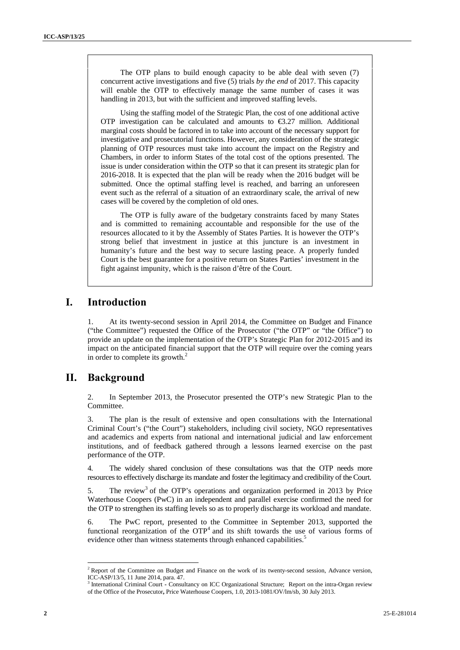The OTP plans to build enough capacity to be able deal with seven (7) concurrent active investigations and five (5) trials *by the end* of 2017. This capacity will enable the OTP to effectively manage the same number of cases it was handling in 2013, but with the sufficient and improved staffing levels.

Using the staffing model of the Strategic Plan, the cost of one additional active OTP investigation can be calculated and amounts to  $\epsilon$ 3.27 million. Additional marginal costs should be factored in to take into account of the necessary support for investigative and prosecutorial functions. However, any consideration of the strategic planning of OTP resources must take into account the impact on the Registry and Chambers, in order to inform States of the total cost of the options presented. The issue is under consideration within the OTP so that it can present its strategic plan for 2016-2018. It is expected that the plan will be ready when the 2016 budget will be submitted. Once the optimal staffing level is reached, and barring an unforeseen event such as the referral of a situation of an extraordinary scale, the arrival of new cases will be covered by the completion of old ones.

The OTP is fully aware of the budgetary constraints faced by many States and is committed to remaining accountable and responsible for the use of the resources allocated to it by the Assembly of States Parties. It is however the OTP's strong belief that investment in justice at this juncture is an investment in humanity's future and the best way to secure lasting peace. A properly funded Court is the best guarantee for a positive return on States Parties' investment in the fight against impunity, which is the raison d'être of the Court.

#### **I. Introduction**

1. At its twenty-second session in April 2014, the Committee on Budget and Finance ("the Committee") requested the Office of the Prosecutor ("the OTP" or "the Office") to provide an update on the implementation of the OTP's Strategic Plan for 2012-2015 and its impact on the anticipated financial support that the OTP will require over the coming years in order to complete its growth. $<sup>2</sup>$ </sup>

#### **II. Background**

2. In September 2013, the Prosecutor presented the OTP's new Strategic Plan to the Committee.

3. The plan is the result of extensive and open consultations with the International Criminal Court's ("the Court") stakeholders, including civil society, NGO representatives and academics and experts from national and international judicial and law enforcement institutions, and of feedback gathered through a lessons learned exercise on the past performance of the OTP.

4. The widely shared conclusion ofthese consultations was that the OTP needs more resources to effectively discharge its mandate and foster the legitimacy and credibility of the Court.

5. The review<sup>3</sup> of the OTP's operations and organization performed in 2013 by Price Waterhouse Coopers (PwC) in an independent and parallel exercise confirmed the need for the OTP to strengthen its staffing levels so as to properly discharge its workload and mandate.

6. The PwC report, presented to the Committee in September 2013, supported the functional reorganization of the  $\text{OTP}^4$  and its shift towards the use of various forms of evidence other than witness statements through enhanced capabilities.<sup>5</sup>

<sup>&</sup>lt;sup>2</sup> Report of the Committee on Budget and Finance on the work of its twenty-second session, Advance version, ICC-ASP/13/5, 11 June 2014, para. 47.

<sup>&</sup>lt;sup>3</sup> International Criminal Court **-** Consultancy on ICC Organizational Structure; Report on the intra-Organ review of the Office of the Prosecutor**,** Price Waterhouse Coopers, 1.0, 2013-1081/OV/lm/sb, 30 July 2013.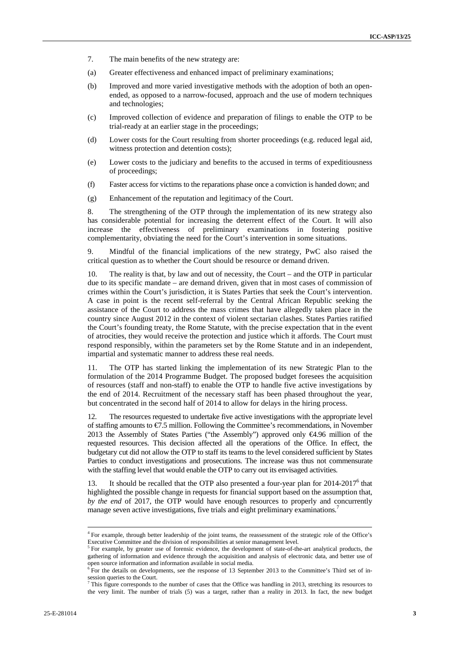- 7. The main benefits of the new strategy are:
- (a) Greater effectiveness and enhanced impact of preliminary examinations;
- (b) Improved and more varied investigative methods with the adoption of both an open ended, as opposed to a narrow-focused, approach and the use of modern techniques and technologies;
- (c) Improved collection of evidence and preparation of filings to enable the OTP to be trial-ready at an earlier stage in the proceedings;
- (d) Lower costs for the Court resulting from shorter proceedings (e.g. reduced legal aid, witness protection and detention costs);
- (e) Lower costs to the judiciary and benefits to the accused in terms of expeditiousness of proceedings;
- (f) Faster access for victims to the reparations phase once a conviction is handed down; and
- (g) Enhancement of the reputation and legitimacy of the Court.

8. The strengthening of the OTP through the implementation of its new strategy also has considerable potential for increasing the deterrent effect of the Court. It will also increase the effectiveness of preliminary examinations in fostering positive complementarity, obviating the need for the Court's intervention in some situations.

9. Mindful of the financial implications of the new strategy, PwC also raised the critical question as to whether the Court should be resource or demand driven.

10. The reality is that, by law and out of necessity, the Court – and the OTP in particular due to its specific mandate – are demand driven, given that in most cases of commission of crimes within the Court's jurisdiction, it is States Parties that seek the Court's intervention. A case in point is the recent self-referral by the Central African Republic seeking the assistance of the Court to address the mass crimes that have allegedly taken place in the country since August 2012 in the context of violent sectarian clashes. States Parties ratified the Court's founding treaty, the Rome Statute, with the precise expectation that in the event of atrocities, they would receive the protection and justice which it affords. The Court must respond responsibly, within the parameters set by the Rome Statute and in an independent, impartial and systematic manner to address these real needs.

11. The OTP has started linking the implementation of its new Strategic Plan to the formulation of the 2014 Programme Budget. The proposed budget foresees the acquisition of resources (staff and non-staff) to enable the OTP to handle five active investigations by the end of 2014. Recruitment of the necessary staff has been phased throughout the year, but concentrated in the second half of 2014 to allow for delays in the hiring process.

12. The resources requested to undertake five active investigations with the appropriate level of staffing amounts to €7.5 million. Following the Committee's recommendations, in November 2013 the Assembly of States Parties ("the Assembly") approved only €4.96 million of the requested resources. This decision affected all the operations of the Office. In effect, the budgetary cut did not allow the OTP to staff its teams to the level considered sufficient by States Parties to conduct investigations and prosecutions. The increase was thus not commensurate with the staffing level that would enable the OTP to carry out its envisaged activities.

13. It should be recalled that the OTP also presented a four-year plan for 2014-2017<sup>6</sup> that highlighted the possible change in requests for financial support based on the assumption that, *by the end* of 2017, the OTP would have enough resources to properly and concurrently manage seven active investigations, five trials and eight preliminary examinations.<sup>7</sup>

<sup>&</sup>lt;sup>4</sup> For example, through better leadership of the joint teams, the reassessment of the strategic role of the Office's Executive Committee and the division of responsibilities at senior management level.

 $5$  For example, by greater use of forensic evidence, the development of state-of-the-art analytical products, the gathering of information and evidence through the acquisition and analysis of electronic data, and better use of open source information and information available in social media. <sup>6</sup> For the details on developments, see the response of 13 September 2013 to the Committee's Third set of in-

session queries to the Court.

 $<sup>7</sup>$  This figure corresponds to the number of cases that the Office was handling in 2013, stretching its resources to</sup> the very limit. The number of trials (5) was a target, rather than a reality in 2013. In fact, the new budget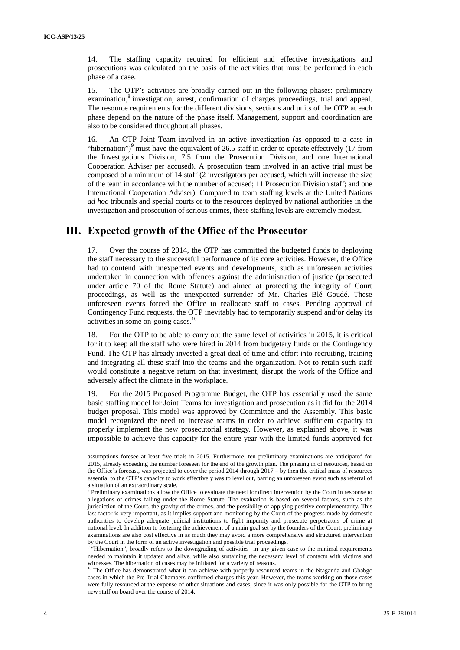14. The staffing capacity required for efficient and effective investigations and prosecutions was calculated on the basis of the activities that must be performed in each phase of a case.

15. The OTP's activities are broadly carried out in the following phases: preliminary examination,<sup>8</sup> investigation, arrest, confirmation of charges proceedings, trial and appeal. The resource requirements for the different divisions, sections and units of the OTP at each phase depend on the nature of the phase itself. Management, support and coordination are also to be considered throughout all phases.

16. An OTP Joint Team involved in an active investigation (as opposed to a case in "hibernation") $\degree$  must have the equivalent of 26.5 staff in order to operate effectively (17 from the Investigations Division, 7.5 from the Prosecution Division, and one International Cooperation Adviser per accused). A prosecution team involved in an active trial must be composed of a minimum of 14 staff (2 investigators per accused, which will increase the size of the team in accordance with the number of accused; 11 Prosecution Division staff; and one International Cooperation Adviser). Compared to team staffing levels at the United Nations *ad hoc* tribunals and special courts or to the resources deployed by national authorities in the investigation and prosecution of serious crimes, these staffing levels are extremely modest.

#### **III. Expected growth of the Office of the Prosecutor**

17. Over the course of 2014, the OTP has committed the budgeted funds to deploying the staff necessary to the successful performance of its core activities. However, the Office had to contend with unexpected events and developments, such as unforeseen activities undertaken in connection with offences against the administration of justice (prosecuted under article 70 of the Rome Statute) and aimed at protecting the integrity of Court proceedings, as well as the unexpected surrender of Mr. Charles Blé Goudé. These unforeseen events forced the Office to reallocate staff to cases. Pending approval of Contingency Fund requests, the OTP inevitably had to temporarily suspend and/or delay its activities in some on-going cases.<sup>10</sup>

18. For the OTP to be able to carry out the same level of activities in 2015, it is critical for it to keep all the staff who were hired in 2014 from budgetary funds or the Contingency Fund. The OTP has already invested a great deal of time and effort into recruiting, training and integrating all these staff into the teams and the organization. Not to retain such staff would constitute a negative return on that investment, disrupt the work of the Office and adversely affect the climate in the workplace.

19. For the 2015 Proposed Programme Budget, the OTP has essentially used the same basic staffing model for Joint Teams for investigation and prosecution as it did for the 2014 budget proposal. This model was approved by Committee and the Assembly. This basic model recognized the need to increase teams in order to achieve sufficient capacity to properly implement the new prosecutorial strategy. However, as explained above, it was impossible to achieve this capacity for the entire year with the limited funds approved for

assumptions foresee at least five trials in 2015. Furthermore, ten preliminary examinations are anticipated for 2015, already exceeding the number foreseen for the end of the growth plan. The phasing in of resources, based on the Office's forecast, was projected to cover the period 2014 through 2017 – by then the critical mass of resources essential to the OTP's capacity to work effectively was to level out, barring an unforeseen event such as referral of a situation of an extraordinary scale.

<sup>&</sup>lt;sup>8</sup> Preliminary examinations allow the Office to evaluate the need for direct intervention by the Court in response to allegations of crimes falling under the Rome Statute. The evaluation is based on several factors, such as the jurisdiction of the Court, the gravity of the crimes, and the possibility of applying positive complementarity. This last factor is very important, as it implies support and monitoring by the Court of the progress made by domestic authorities to develop adequate judicial institutions to fight impunity and prosecute perpetrators of crime at national level. In addition to fostering the achievement of a main goal set by the founders of the Court, preliminary examinations are also cost effective in as much they may avoid a more comprehensive and structured intervention

by the Court in the form of an active investigation and possible trial proceedings.<br><sup>9</sup> "Hibernation", broadly refers to the downgrading of activities in any given case to the minimal requirements needed to maintain it updated and alive, while also sustaining the necessary level of contacts with victims and witnesses. The hibernation of cases may be initiated for a variety of reasons.<br><sup>10</sup> The Office has demonstrated what it can achieve with properly resourced teams in the Ntaganda and Gbabgo

cases in which the Pre-Trial Chambers confirmed charges this year. However, the teams working on those cases were fully resourced at the expense of other situations and cases, since it was only possible for the OTP to bring new staff on board over the course of 2014.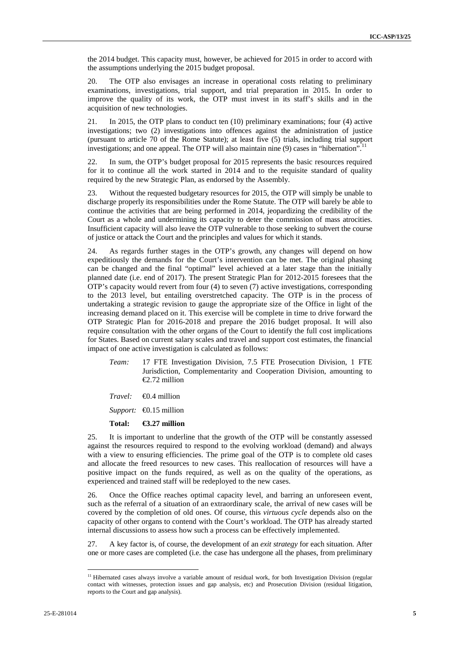the 2014 budget. This capacity must, however, be achieved for 2015 in order to accord with the assumptions underlying the 2015 budget proposal.

20. The OTP also envisages an increase in operational costs relating to preliminary examinations, investigations, trial support, and trial preparation in 2015. In order to improve the quality of its work, the OTP must invest in its staff's skills and in the acquisition of new technologies.

21. In 2015, the OTP plans to conduct ten (10) preliminary examinations; four (4) active investigations; two (2) investigations into offences against the administration of justice (pursuant to article 70 of the Rome Statute); at least five (5) trials, including trial support investigations; and one appeal. The OTP will also maintain nine (9) cases in "hibernation".

22. In sum, the OTP's budget proposal for 2015 represents the basic resources required for it to continue all the work started in 2014 and to the requisite standard of quality required by the new Strategic Plan, as endorsed by the Assembly.

23. Without the requested budgetary resources for 2015, the OTP will simply be unable to discharge properly its responsibilities under the Rome Statute. The OTP will barely be able to continue the activities that are being performed in 2014, jeopardizing the credibility of the Court as a whole and undermining its capacity to deter the commission of mass atrocities. Insufficient capacity will also leave the OTP vulnerable to those seeking to subvert the course of justice or attack the Court and the principles and values for which it stands.

24. As regards further stages in the OTP's growth, any changes will depend on how expeditiously the demands for the Court's intervention can be met. The original phasing can be changed and the final "optimal" level achieved at a later stage than the initially planned date (i.e. end of 2017). The present Strategic Plan for 2012-2015 foresees that the OTP's capacity would revert from four (4) to seven (7) active investigations, corresponding to the 2013 level, but entailing overstretched capacity. The OTP is in the process of undertaking a strategic revision to gauge the appropriate size of the Office in light of the increasing demand placed on it. This exercise will be complete in time to drive forward the OTP Strategic Plan for 2016-2018 and prepare the 2016 budget proposal. It will also require consultation with the other organs of the Court to identify the full cost implications for States. Based on current salary scales and travel and support cost estimates, the financial impact of one active investigation is calculated as follows:

- *Team:* 17 FTE Investigation Division, 7.5 FTE Prosecution Division, 1 FTE Jurisdiction, Complementarity and Cooperation Division, amounting to €2.72 million
- *Travel:* €0.4 million
- *Support:* €0.15 million

#### **Total: €3.27 million**

25. It is important to underline that the growth of the OTP will be constantly assessed against the resources required to respond to the evolving workload (demand) and always with a view to ensuring efficiencies. The prime goal of the OTP is to complete old cases and allocate the freed resources to new cases. This reallocation of resources will have a positive impact on the funds required, as well as on the quality of the operations, as experienced and trained staff will be redeployed to the new cases.

26. Once the Office reaches optimal capacity level, and barring an unforeseen event, such as the referral of a situation of an extraordinary scale, the arrival of new cases will be covered by the completion of old ones. Of course, this *virtuous cycle* depends also on the capacity of other organs to contend with the Court's workload. The OTP has already started internal discussions to assess how such a process can be effectively implemented.

27. A keyfactor is, of course, the development of an *exit strategy* for each situation. After one or more cases are completed (i.e. the case has undergone all the phases, from preliminary

<sup>&</sup>lt;sup>11</sup> Hibernated cases always involve a variable amount of residual work, for both Investigation Division (regular contact with witnesses, protection issues and gap analysis, etc) and Prosecution Division (residual litigation, reports to the Court and gap analysis).